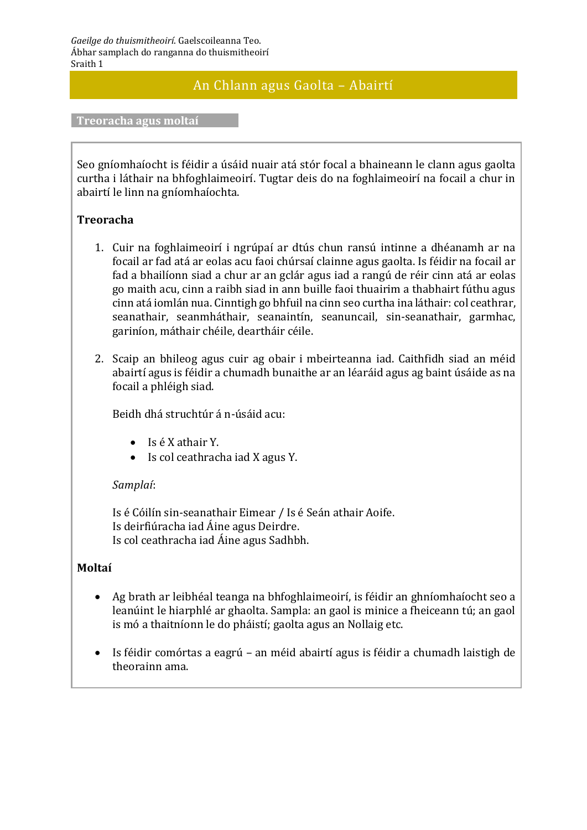## An Chlann agus Gaolta – Abairtí

**Treoracha agus moltaí**

Seo gníomhaíocht is féidir a úsáid nuair atá stór focal a bhaineann le clann agus gaolta curtha i láthair na bhfoghlaimeoirí. Tugtar deis do na foghlaimeoirí na focail a chur in abairtí le linn na gníomhaíochta.

## **Treoracha**

- 1. Cuir na foghlaimeoirí i ngrúpaí ar dtús chun ransú intinne a dhéanamh ar na focail ar fad atá ar eolas acu faoi chúrsaí clainne agus gaolta. Is féidir na focail ar fad a bhailíonn siad a chur ar an gclár agus iad a rangú de réir cinn atá ar eolas go maith acu, cinn a raibh siad in ann buille faoi thuairim a thabhairt fúthu agus cinn atá iomlán nua. Cinntigh go bhfuil na cinn seo curtha ina láthair: col ceathrar, seanathair, seanmháthair, seanaintín, seanuncail, sin-seanathair, garmhac, gariníon, máthair chéile, deartháir céile.
- 2. Scaip an bhileog agus cuir ag obair i mbeirteanna iad. Caithfidh siad an méid abairtí agus is féidir a chumadh bunaithe ar an léaráid agus ag baint úsáide as na focail a phléigh siad.

Beidh dhá struchtúr á n-úsáid acu:

- Is é X athair Y.
- Is col ceathracha iad X agus Y.

## *Samplaí*:

Is é Cóilín sin-seanathair Eimear / Is é Seán athair Aoife. Is deirfiúracha iad Áine agus Deirdre. Is col ceathracha iad Áine agus Sadhbh.

## **Moltaí**

- Ag brath ar leibhéal teanga na bhfoghlaimeoirí, is féidir an ghníomhaíocht seo a leanúint le hiarphlé ar ghaolta. Sampla: an gaol is minice a fheiceann tú; an gaol is mó a thaitníonn le do pháistí; gaolta agus an Nollaig etc.
- Is féidir comórtas a eagrú an méid abairtí agus is féidir a chumadh laistigh de theorainn ama.